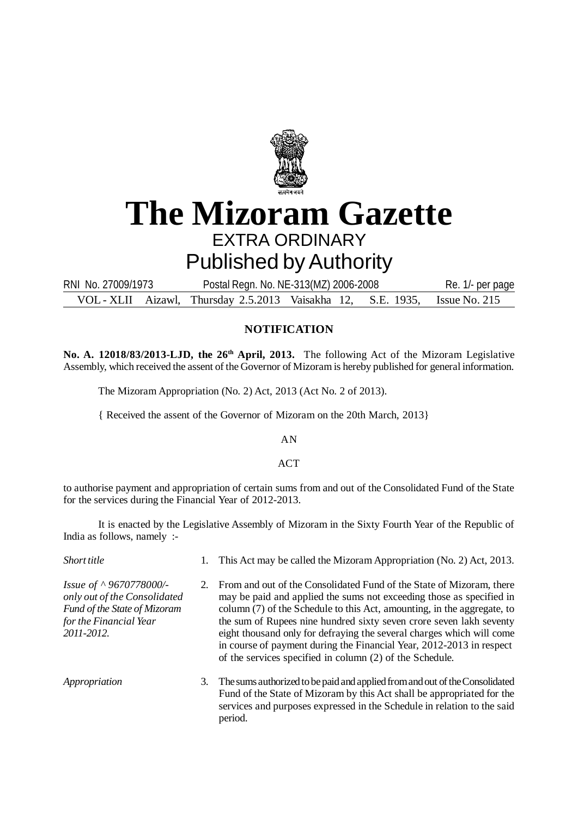

## **The Mizoram Gazette** EXTRA ORDINARY Published by Authority

VOL - XLII Aizawl, Thursday 2.5.2013 Vaisakha 12, S.E. 1935, Issue No. 215 RNI No. 27009/1973 Postal Regn. No. NE-313(MZ) 2006-2008 Re. 1/- per page

## **NOTIFICATION**

**No. A. 12018/83/2013-LJD, the 26th April, 2013.** The following Act of the Mizoram Legislative Assembly, which received the assent of the Governor of Mizoram is hereby published for general information.

The Mizoram Appropriation (No. 2) Act, 2013 (Act No. 2 of 2013).

{ Received the assent of the Governor of Mizoram on the 20th March, 2013}

AN

ACT

to authorise payment and appropriation of certain sums from and out of the Consolidated Fund of the State for the services during the Financial Year of 2012-2013.

It is enacted by the Legislative Assembly of Mizoram in the Sixty Fourth Year of the Republic of India as follows, namely :-

| Short title                                                                                                                     | 1. This Act may be called the Mizoram Appropriation (No. 2) Act, 2013.                                                                                                                                                                                                                                                                                                                                                                                                                                         |
|---------------------------------------------------------------------------------------------------------------------------------|----------------------------------------------------------------------------------------------------------------------------------------------------------------------------------------------------------------------------------------------------------------------------------------------------------------------------------------------------------------------------------------------------------------------------------------------------------------------------------------------------------------|
| Issue of ^ 9670778000/-<br>only out of the Consolidated<br>Fund of the State of Mizoram<br>for the Financial Year<br>2011-2012. | 2. From and out of the Consolidated Fund of the State of Mizoram, there<br>may be paid and applied the sums not exceeding those as specified in<br>column (7) of the Schedule to this Act, amounting, in the aggregate, to<br>the sum of Rupees nine hundred sixty seven crore seven lakh seventy<br>eight thousand only for defraying the several charges which will come<br>in course of payment during the Financial Year, 2012-2013 in respect<br>of the services specified in column (2) of the Schedule. |
| Appropriation                                                                                                                   | 3. The sums authorized to be paid and applied from and out of the Consolidated<br>Fund of the State of Mizoram by this Act shall be appropriated for the<br>services and purposes expressed in the Schedule in relation to the said                                                                                                                                                                                                                                                                            |

period.